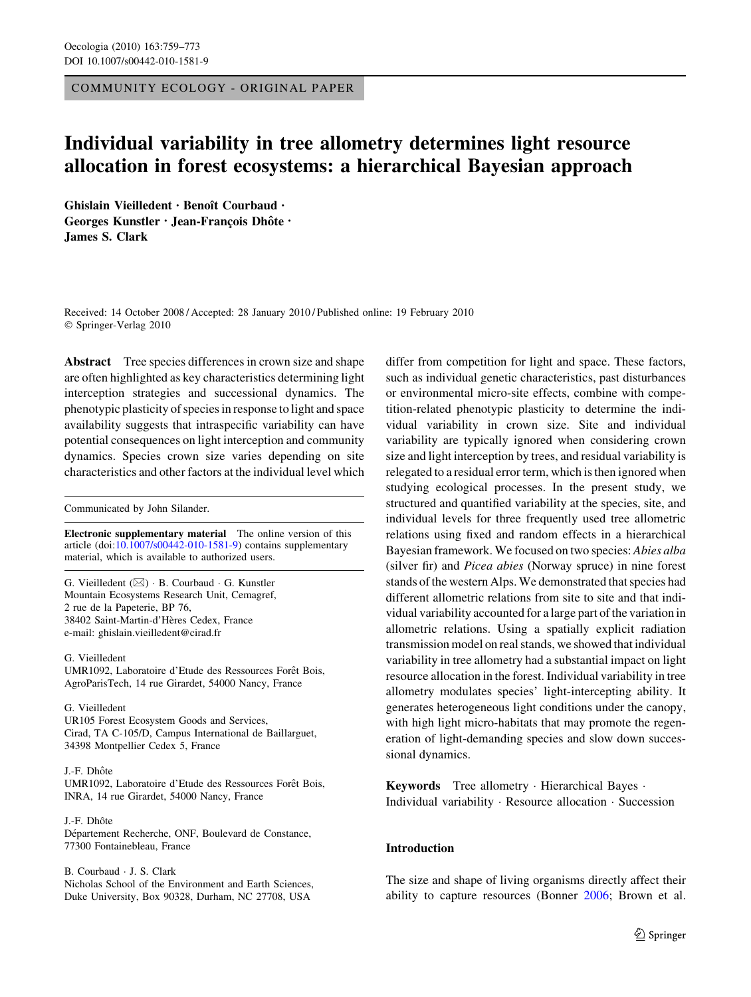COMMUNITY ECOLOGY - ORIGINAL PAPER

# Individual variability in tree allometry determines light resource allocation in forest ecosystems: a hierarchical Bayesian approach

Ghislain Vieilledent · Benoît Courbaud · Georges Kunstler · Jean-François Dhôte · James S. Clark

Received: 14 October 2008 / Accepted: 28 January 2010 / Published online: 19 February 2010 © Springer-Verlag 2010

Abstract Tree species differences in crown size and shape are often highlighted as key characteristics determining light interception strategies and successional dynamics. The phenotypic plasticity of species in response to light and space availability suggests that intraspecific variability can have potential consequences on light interception and community dynamics. Species crown size varies depending on site characteristics and other factors at the individual level which

Communicated by John Silander.

Electronic supplementary material The online version of this article (doi:[10.1007/s00442-010-1581-9\)](http://dx.doi.org/10.1007/s00442-010-1581-9) contains supplementary material, which is available to authorized users.

G. Vieilledent  $(\boxtimes) \cdot B$ . Courbaud  $\cdot G$ . Kunstler Mountain Ecosystems Research Unit, Cemagref, 2 rue de la Papeterie, BP 76, 38402 Saint-Martin-d'Hères Cedex, France e-mail: ghislain.vieilledent@cirad.fr

G. Vieilledent UMR1092, Laboratoire d'Etude des Ressources Forêt Bois, AgroParisTech, 14 rue Girardet, 54000 Nancy, France

G. Vieilledent UR105 Forest Ecosystem Goods and Services, Cirad, TA C-105/D, Campus International de Baillarguet, 34398 Montpellier Cedex 5, France

#### J.-F. Dhôte

UMR1092, Laboratoire d'Etude des Ressources Forêt Bois, INRA, 14 rue Girardet, 54000 Nancy, France

J.-F. Dhôte Département Recherche, ONF, Boulevard de Constance, 77300 Fontainebleau, France

B. Courbaud - J. S. Clark Nicholas School of the Environment and Earth Sciences, Duke University, Box 90328, Durham, NC 27708, USA

differ from competition for light and space. These factors, such as individual genetic characteristics, past disturbances or environmental micro-site effects, combine with competition-related phenotypic plasticity to determine the individual variability in crown size. Site and individual variability are typically ignored when considering crown size and light interception by trees, and residual variability is relegated to a residual error term, which is then ignored when studying ecological processes. In the present study, we structured and quantified variability at the species, site, and individual levels for three frequently used tree allometric relations using fixed and random effects in a hierarchical Bayesian framework. We focused on two species: Abies alba (silver fir) and Picea abies (Norway spruce) in nine forest stands of the western Alps. We demonstrated that species had different allometric relations from site to site and that individual variability accounted for a large part of the variation in allometric relations. Using a spatially explicit radiation transmission model on real stands, we showed that individual variability in tree allometry had a substantial impact on light resource allocation in the forest. Individual variability in tree allometry modulates species' light-intercepting ability. It generates heterogeneous light conditions under the canopy, with high light micro-habitats that may promote the regeneration of light-demanding species and slow down successional dynamics.

Keywords Tree allometry - Hierarchical Bayes - Individual variability - Resource allocation - Succession

# Introduction

The size and shape of living organisms directly affect their ability to capture resources (Bonner [2006](#page-12-0); Brown et al.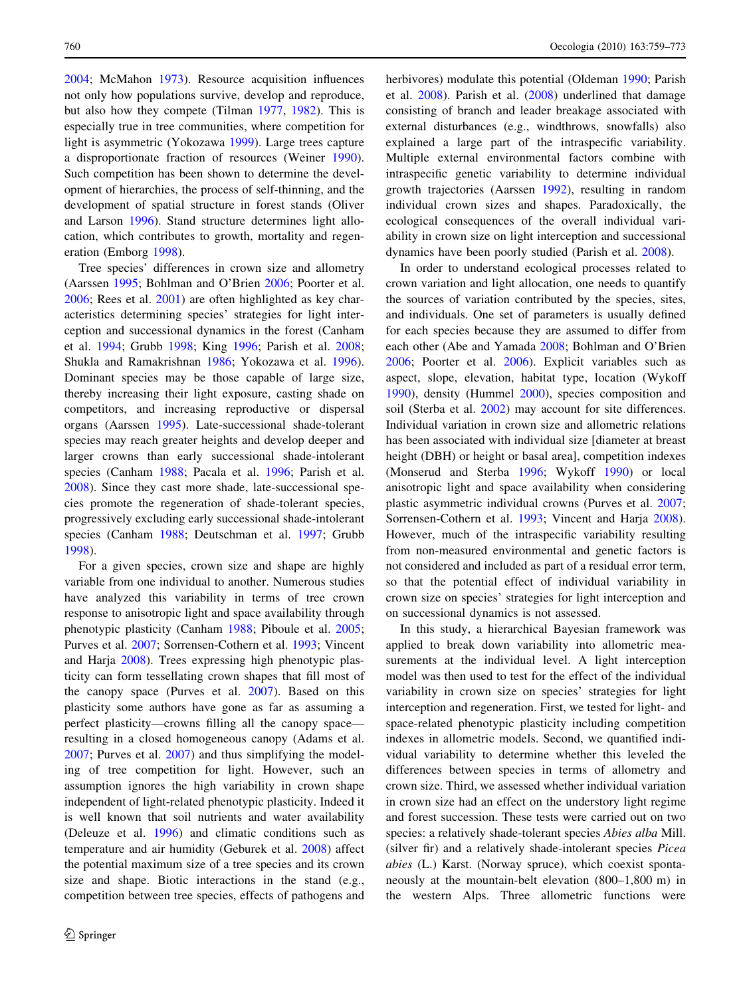[2004;](#page-12-0) McMahon [1973\)](#page-13-0). Resource acquisition influences not only how populations survive, develop and reproduce, but also how they compete (Tilman [1977,](#page-13-0) [1982\)](#page-13-0). This is especially true in tree communities, where competition for light is asymmetric (Yokozawa [1999\)](#page-14-0). Large trees capture a disproportionate fraction of resources (Weiner [1990](#page-13-0)). Such competition has been shown to determine the development of hierarchies, the process of self-thinning, and the development of spatial structure in forest stands (Oliver and Larson [1996](#page-13-0)). Stand structure determines light allocation, which contributes to growth, mortality and regeneration (Emborg [1998](#page-13-0)).

Tree species' differences in crown size and allometry (Aarssen [1995;](#page-12-0) Bohlman and O'Brien [2006;](#page-12-0) Poorter et al. [2006;](#page-13-0) Rees et al. [2001\)](#page-13-0) are often highlighted as key characteristics determining species' strategies for light interception and successional dynamics in the forest (Canham et al. [1994;](#page-12-0) Grubb [1998](#page-13-0); King [1996;](#page-13-0) Parish et al. [2008](#page-13-0); Shukla and Ramakrishnan [1986;](#page-13-0) Yokozawa et al. [1996](#page-14-0)). Dominant species may be those capable of large size, thereby increasing their light exposure, casting shade on competitors, and increasing reproductive or dispersal organs (Aarssen [1995](#page-12-0)). Late-successional shade-tolerant species may reach greater heights and develop deeper and larger crowns than early successional shade-intolerant species (Canham [1988;](#page-12-0) Pacala et al. [1996](#page-13-0); Parish et al. [2008\)](#page-13-0). Since they cast more shade, late-successional species promote the regeneration of shade-tolerant species, progressively excluding early successional shade-intolerant species (Canham [1988](#page-12-0); Deutschman et al. [1997;](#page-13-0) Grubb [1998\)](#page-13-0).

For a given species, crown size and shape are highly variable from one individual to another. Numerous studies have analyzed this variability in terms of tree crown response to anisotropic light and space availability through phenotypic plasticity (Canham [1988;](#page-12-0) Piboule et al. [2005](#page-13-0); Purves et al. [2007](#page-13-0); Sorrensen-Cothern et al. [1993;](#page-13-0) Vincent and Harja [2008\)](#page-13-0). Trees expressing high phenotypic plasticity can form tessellating crown shapes that fill most of the canopy space (Purves et al. [2007\)](#page-13-0). Based on this plasticity some authors have gone as far as assuming a perfect plasticity—crowns filling all the canopy space resulting in a closed homogeneous canopy (Adams et al. [2007;](#page-12-0) Purves et al. [2007](#page-13-0)) and thus simplifying the modeling of tree competition for light. However, such an assumption ignores the high variability in crown shape independent of light-related phenotypic plasticity. Indeed it is well known that soil nutrients and water availability (Deleuze et al. [1996\)](#page-13-0) and climatic conditions such as temperature and air humidity (Geburek et al. [2008](#page-13-0)) affect the potential maximum size of a tree species and its crown size and shape. Biotic interactions in the stand (e.g., competition between tree species, effects of pathogens and herbivores) modulate this potential (Oldeman [1990;](#page-13-0) Parish et al. [2008](#page-13-0)). Parish et al. [\(2008](#page-13-0)) underlined that damage consisting of branch and leader breakage associated with external disturbances (e.g., windthrows, snowfalls) also explained a large part of the intraspecific variability. Multiple external environmental factors combine with intraspecific genetic variability to determine individual growth trajectories (Aarssen [1992\)](#page-12-0), resulting in random individual crown sizes and shapes. Paradoxically, the ecological consequences of the overall individual variability in crown size on light interception and successional dynamics have been poorly studied (Parish et al. [2008](#page-13-0)).

In order to understand ecological processes related to crown variation and light allocation, one needs to quantify the sources of variation contributed by the species, sites, and individuals. One set of parameters is usually defined for each species because they are assumed to differ from each other (Abe and Yamada [2008](#page-12-0); Bohlman and O'Brien [2006](#page-12-0); Poorter et al. [2006\)](#page-13-0). Explicit variables such as aspect, slope, elevation, habitat type, location (Wykoff [1990](#page-14-0)), density (Hummel [2000](#page-13-0)), species composition and soil (Sterba et al. [2002](#page-13-0)) may account for site differences. Individual variation in crown size and allometric relations has been associated with individual size [diameter at breast height (DBH) or height or basal area], competition indexes (Monserud and Sterba [1996](#page-13-0); Wykoff [1990\)](#page-14-0) or local anisotropic light and space availability when considering plastic asymmetric individual crowns (Purves et al. [2007](#page-13-0); Sorrensen-Cothern et al. [1993;](#page-13-0) Vincent and Harja [2008](#page-13-0)). However, much of the intraspecific variability resulting from non-measured environmental and genetic factors is not considered and included as part of a residual error term, so that the potential effect of individual variability in crown size on species' strategies for light interception and on successional dynamics is not assessed.

In this study, a hierarchical Bayesian framework was applied to break down variability into allometric measurements at the individual level. A light interception model was then used to test for the effect of the individual variability in crown size on species' strategies for light interception and regeneration. First, we tested for light- and space-related phenotypic plasticity including competition indexes in allometric models. Second, we quantified individual variability to determine whether this leveled the differences between species in terms of allometry and crown size. Third, we assessed whether individual variation in crown size had an effect on the understory light regime and forest succession. These tests were carried out on two species: a relatively shade-tolerant species Abies alba Mill. (silver fir) and a relatively shade-intolerant species Picea abies (L.) Karst. (Norway spruce), which coexist spontaneously at the mountain-belt elevation (800–1,800 m) in the western Alps. Three allometric functions were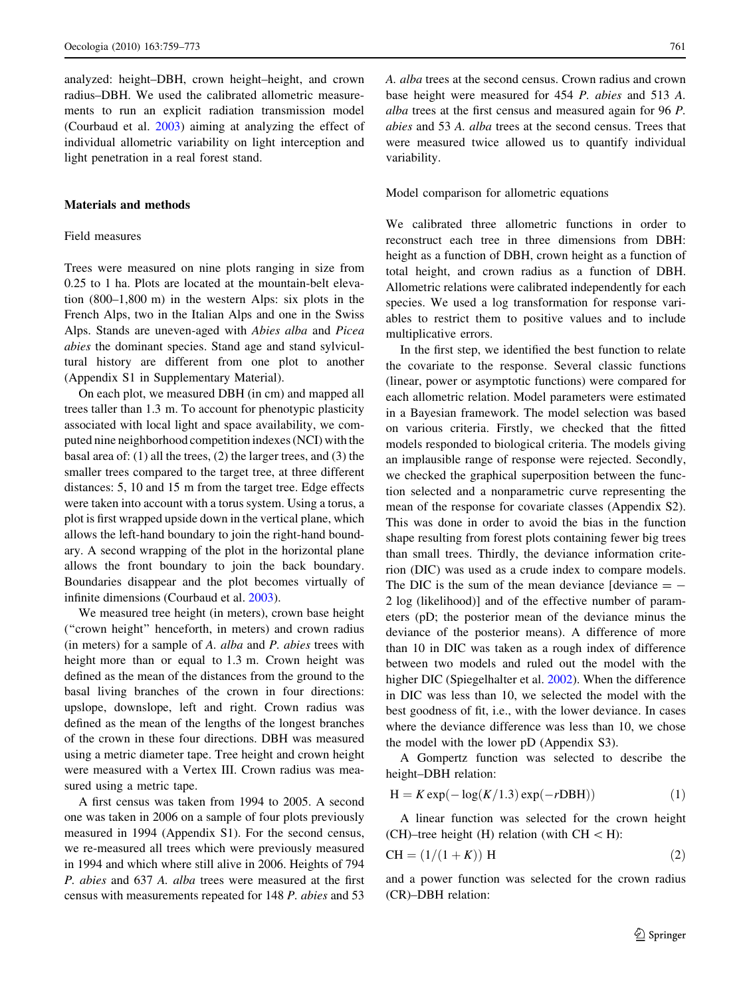<span id="page-2-0"></span>analyzed: height–DBH, crown height–height, and crown radius–DBH. We used the calibrated allometric measurements to run an explicit radiation transmission model (Courbaud et al. [2003](#page-13-0)) aiming at analyzing the effect of individual allometric variability on light interception and light penetration in a real forest stand.

## Materials and methods

# Field measures

Trees were measured on nine plots ranging in size from 0.25 to 1 ha. Plots are located at the mountain-belt elevation (800–1,800 m) in the western Alps: six plots in the French Alps, two in the Italian Alps and one in the Swiss Alps. Stands are uneven-aged with Abies alba and Picea abies the dominant species. Stand age and stand sylvicultural history are different from one plot to another (Appendix S1 in Supplementary Material).

On each plot, we measured DBH (in cm) and mapped all trees taller than 1.3 m. To account for phenotypic plasticity associated with local light and space availability, we computed nine neighborhood competition indexes (NCI) with the basal area of: (1) all the trees, (2) the larger trees, and (3) the smaller trees compared to the target tree, at three different distances: 5, 10 and 15 m from the target tree. Edge effects were taken into account with a torus system. Using a torus, a plot is first wrapped upside down in the vertical plane, which allows the left-hand boundary to join the right-hand boundary. A second wrapping of the plot in the horizontal plane allows the front boundary to join the back boundary. Boundaries disappear and the plot becomes virtually of infinite dimensions (Courbaud et al. [2003](#page-13-0)).

We measured tree height (in meters), crown base height (''crown height'' henceforth, in meters) and crown radius (in meters) for a sample of A. alba and P. abies trees with height more than or equal to 1.3 m. Crown height was defined as the mean of the distances from the ground to the basal living branches of the crown in four directions: upslope, downslope, left and right. Crown radius was defined as the mean of the lengths of the longest branches of the crown in these four directions. DBH was measured using a metric diameter tape. Tree height and crown height were measured with a Vertex III. Crown radius was measured using a metric tape.

A first census was taken from 1994 to 2005. A second one was taken in 2006 on a sample of four plots previously measured in 1994 (Appendix S1). For the second census, we re-measured all trees which were previously measured in 1994 and which where still alive in 2006. Heights of 794 P. abies and 637 A. alba trees were measured at the first census with measurements repeated for 148 P. abies and 53 A. alba trees at the second census. Crown radius and crown base height were measured for 454 P. abies and 513 A. alba trees at the first census and measured again for 96 P. abies and 53 A. alba trees at the second census. Trees that were measured twice allowed us to quantify individual variability.

Model comparison for allometric equations

We calibrated three allometric functions in order to reconstruct each tree in three dimensions from DBH: height as a function of DBH, crown height as a function of total height, and crown radius as a function of DBH. Allometric relations were calibrated independently for each species. We used a log transformation for response variables to restrict them to positive values and to include multiplicative errors.

In the first step, we identified the best function to relate the covariate to the response. Several classic functions (linear, power or asymptotic functions) were compared for each allometric relation. Model parameters were estimated in a Bayesian framework. The model selection was based on various criteria. Firstly, we checked that the fitted models responded to biological criteria. The models giving an implausible range of response were rejected. Secondly, we checked the graphical superposition between the function selected and a nonparametric curve representing the mean of the response for covariate classes (Appendix S2). This was done in order to avoid the bias in the function shape resulting from forest plots containing fewer big trees than small trees. Thirdly, the deviance information criterion (DIC) was used as a crude index to compare models. The DIC is the sum of the mean deviance  $\alpha$  =  $-$ 2 log (likelihood)] and of the effective number of parameters (pD; the posterior mean of the deviance minus the deviance of the posterior means). A difference of more than 10 in DIC was taken as a rough index of difference between two models and ruled out the model with the higher DIC (Spiegelhalter et al. [2002](#page-13-0)). When the difference in DIC was less than 10, we selected the model with the best goodness of fit, i.e., with the lower deviance. In cases where the deviance difference was less than 10, we chose the model with the lower pD (Appendix S3).

A Gompertz function was selected to describe the height–DBH relation:

$$
H = K \exp(-\log(K/1.3) \exp(-rDBH))
$$
 (1)

A linear function was selected for the crown height (CH)–tree height (H) relation (with  $CH < H$ ):

$$
CH = (1/(1 + K)) H
$$
 (2)

and a power function was selected for the crown radius (CR)–DBH relation: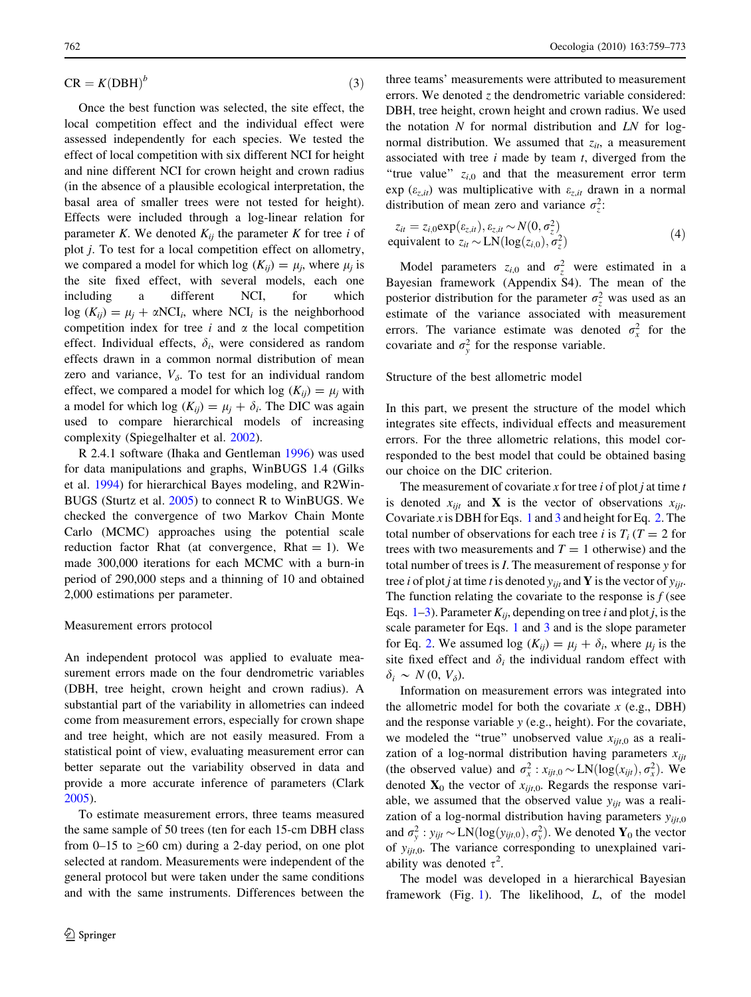$$
CR = K(DBH)^b \tag{3}
$$

Once the best function was selected, the site effect, the local competition effect and the individual effect were assessed independently for each species. We tested the effect of local competition with six different NCI for height and nine different NCI for crown height and crown radius (in the absence of a plausible ecological interpretation, the basal area of smaller trees were not tested for height). Effects were included through a log-linear relation for parameter K. We denoted  $K_{ii}$  the parameter K for tree i of plot j. To test for a local competition effect on allometry, we compared a model for which log  $(K_{ii}) = \mu_i$ , where  $\mu_i$  is the site fixed effect, with several models, each one including a different NCI, for which  $log (K_{ii}) = \mu_i + \alpha NCI_i$ , where NCI<sub>i</sub> is the neighborhood competition index for tree  $i$  and  $\alpha$  the local competition effect. Individual effects,  $\delta_i$ , were considered as random effects drawn in a common normal distribution of mean zero and variance,  $V_{\delta}$ . To test for an individual random effect, we compared a model for which log  $(K_{ii}) = \mu_i$  with a model for which log  $(K_{ij}) = \mu_i + \delta_i$ . The DIC was again used to compare hierarchical models of increasing complexity (Spiegelhalter et al. [2002\)](#page-13-0).

R 2.4.1 software (Ihaka and Gentleman [1996\)](#page-13-0) was used for data manipulations and graphs, WinBUGS 1.4 (Gilks et al. [1994\)](#page-13-0) for hierarchical Bayes modeling, and R2Win-BUGS (Sturtz et al. [2005\)](#page-13-0) to connect R to WinBUGS. We checked the convergence of two Markov Chain Monte Carlo (MCMC) approaches using the potential scale reduction factor Rhat (at convergence, Rhat  $= 1$ ). We made 300,000 iterations for each MCMC with a burn-in period of 290,000 steps and a thinning of 10 and obtained 2,000 estimations per parameter.

#### Measurement errors protocol

An independent protocol was applied to evaluate measurement errors made on the four dendrometric variables (DBH, tree height, crown height and crown radius). A substantial part of the variability in allometries can indeed come from measurement errors, especially for crown shape and tree height, which are not easily measured. From a statistical point of view, evaluating measurement error can better separate out the variability observed in data and provide a more accurate inference of parameters (Clark [2005\)](#page-12-0).

To estimate measurement errors, three teams measured the same sample of 50 trees (ten for each 15-cm DBH class from 0–15 to  $\geq$ 60 cm) during a 2-day period, on one plot selected at random. Measurements were independent of the general protocol but were taken under the same conditions and with the same instruments. Differences between the

three teams' measurements were attributed to measurement errors. We denoted  $z$  the dendrometric variable considered: DBH, tree height, crown height and crown radius. We used the notation  $N$  for normal distribution and  $LN$  for lognormal distribution. We assumed that  $z_{it}$ , a measurement associated with tree  $i$  made by team  $t$ , diverged from the "true value"  $z_{i,0}$  and that the measurement error term  $\exp$  ( $\varepsilon_{z,it}$ ) was multiplicative with  $\varepsilon_{z,it}$  drawn in a normal distribution of mean zero and variance  $\sigma_z^2$ .

$$
z_{it} = z_{i,0} \exp(\varepsilon_{z,it}), \varepsilon_{z,it} \sim N(0, \sigma_z^2)
$$
  
equivalent to  $z_{it} \sim \text{LN}(\log(z_{i,0}), \sigma_z^2)$  (4)

Model parameters  $z_{i,0}$  and  $\sigma_z^2$  were estimated in a Bayesian framework (Appendix S4). The mean of the posterior distribution for the parameter  $\sigma_z^2$  was used as an estimate of the variance associated with measurement errors. The variance estimate was denoted  $\sigma_x^2$  for the covariate and  $\sigma_y^2$  for the response variable.

## Structure of the best allometric model

In this part, we present the structure of the model which integrates site effects, individual effects and measurement errors. For the three allometric relations, this model corresponded to the best model that could be obtained basing our choice on the DIC criterion.

The measurement of covariate x for tree  $i$  of plot  $j$  at time  $t$ is denoted  $x_{ijt}$  and **X** is the vector of observations  $x_{ijt}$ . Covariate x is DBH for Eqs. [1](#page-2-0) and [3](#page-2-0) and height for Eq. [2.](#page-2-0) The total number of observations for each tree i is  $T_i$  ( $T = 2$  for trees with two measurements and  $T = 1$  otherwise) and the total number of trees is I. The measurement of response y for tree *i* of plot *j* at time *t* is denoted  $y_{ijt}$  and **Y** is the vector of  $y_{ijt}$ . The function relating the covariate to the response is  $f$  (see Eqs. [1–3\)](#page-2-0). Parameter  $K_{ii}$ , depending on tree i and plot j, is the scale parameter for Eqs. [1](#page-2-0) and [3](#page-2-0) and is the slope parameter for Eq. [2.](#page-2-0) We assumed log  $(K_{ij}) = \mu_j + \delta_i$ , where  $\mu_j$  is the site fixed effect and  $\delta_i$  the individual random effect with  $\delta_i \sim N(0, V_\delta)$ .

Information on measurement errors was integrated into the allometric model for both the covariate  $x$  (e.g., DBH) and the response variable y (e.g., height). For the covariate, we modeled the "true" unobserved value  $x_{ijt,0}$  as a realization of a log-normal distribution having parameters  $x_{ijt}$ (the observed value) and  $\sigma_x^2$ :  $x_{ijt,0} \sim LN(\log(x_{ijt}), \sigma_x^2)$ . We denoted  $X_0$  the vector of  $x_{ijt,0}$ . Regards the response variable, we assumed that the observed value  $y_{ijt}$  was a realization of a log-normal distribution having parameters  $y_{iit,0}$ and  $\sigma_y^2$ :  $y_{ijt} \sim LN(\log(y_{ijt,0}), \sigma_y^2)$ . We denoted  $\mathbf{Y}_0$  the vector of  $y_{ijt,0}$ . The variance corresponding to unexplained variability was denoted  $\tau^2$ .

The model was developed in a hierarchical Bayesian framework (Fig. [1](#page-4-0)). The likelihood, L, of the model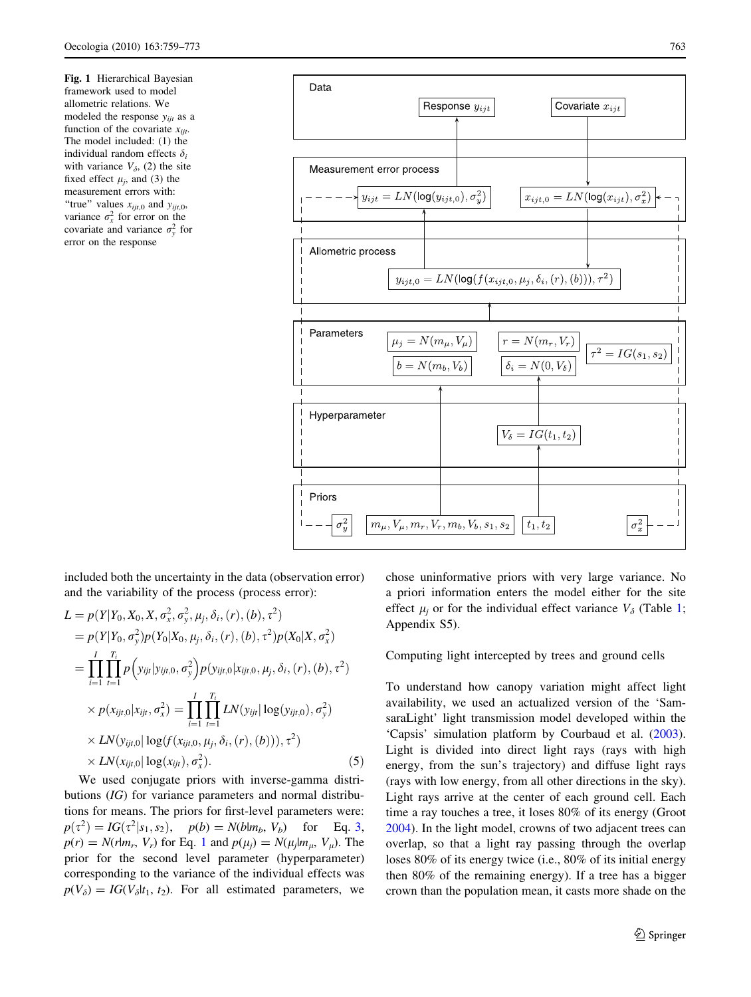<span id="page-4-0"></span>Fig. 1 Hierarchical Bayesian framework used to model allometric relations. We modeled the response  $y_{ijt}$  as a function of the covariate  $x_{\text{ijt}}$ . The model included: (1) the individual random effects  $\delta_i$ with variance  $V_{\delta}$ , (2) the site fixed effect  $\mu_i$ , and (3) the measurement errors with: "true" values  $x_{ijt,0}$  and  $y_{ijt,0}$ , variance  $\sigma_x^2$  for error on the covariate and variance  $\sigma_y^2$  for error on the response



included both the uncertainty in the data (observation error) and the variability of the process (process error):

$$
L = p(Y|Y_0, X_0, X, \sigma_x^2, \sigma_y^2, \mu_j, \delta_i, (r), (b), \tau^2)
$$
  
\n
$$
= p(Y|Y_0, \sigma_y^2)p(Y_0|X_0, \mu_j, \delta_i, (r), (b), \tau^2)p(X_0|X, \sigma_x^2)
$$
  
\n
$$
= \prod_{i=1}^I \prod_{t=1}^{T_i} p(y_{ijt}|y_{ijt,0}, \sigma_y^2)p(y_{ijt,0}|x_{ijt,0}, \mu_j, \delta_i, (r), (b), \tau^2)
$$
  
\n
$$
\times p(x_{ijt,0}|x_{ijt}, \sigma_x^2) = \prod_{i=1}^I \prod_{t=1}^{T_i} LN(y_{ijt}| \log(y_{ijt,0}), \sigma_y^2)
$$
  
\n
$$
\times LN(y_{ijt,0}| \log(f(x_{ijt,0}, \mu_j, \delta_i, (r), (b))), \tau^2)
$$
  
\n
$$
\times LN(x_{ijt,0}| \log(x_{ijt}), \sigma_x^2).
$$
 (5)

We used conjugate priors with inverse-gamma distributions (IG) for variance parameters and normal distributions for means. The priors for first-level parameters were:  $p(\tau^2) = IG(\tau^2|_{S_1, S_2}), \quad p(b) = N(b|m_b, V_b) \quad \text{for} \quad \text{Eq. 3},$  $p(r) = N(r|m_r, V_r)$  for Eq. [1](#page-2-0) and  $p(\mu_i) = N(\mu_i|m_u, V_u)$ . The prior for the second level parameter (hyperparameter) corresponding to the variance of the individual effects was  $p(V_{\delta}) = IG(V_{\delta}|t_1, t_2)$ . For all estimated parameters, we chose uninformative priors with very large variance. No a priori information enters the model either for the site effect  $\mu_i$  or for the individual effect variance  $V_\delta$  (Table [1](#page-5-0); Appendix S5).

Computing light intercepted by trees and ground cells

To understand how canopy variation might affect light availability, we used an actualized version of the 'SamsaraLight' light transmission model developed within the 'Capsis' simulation platform by Courbaud et al. [\(2003](#page-13-0)). Light is divided into direct light rays (rays with high energy, from the sun's trajectory) and diffuse light rays (rays with low energy, from all other directions in the sky). Light rays arrive at the center of each ground cell. Each time a ray touches a tree, it loses 80% of its energy (Groot [2004](#page-13-0)). In the light model, crowns of two adjacent trees can overlap, so that a light ray passing through the overlap loses 80% of its energy twice (i.e., 80% of its initial energy then 80% of the remaining energy). If a tree has a bigger crown than the population mean, it casts more shade on the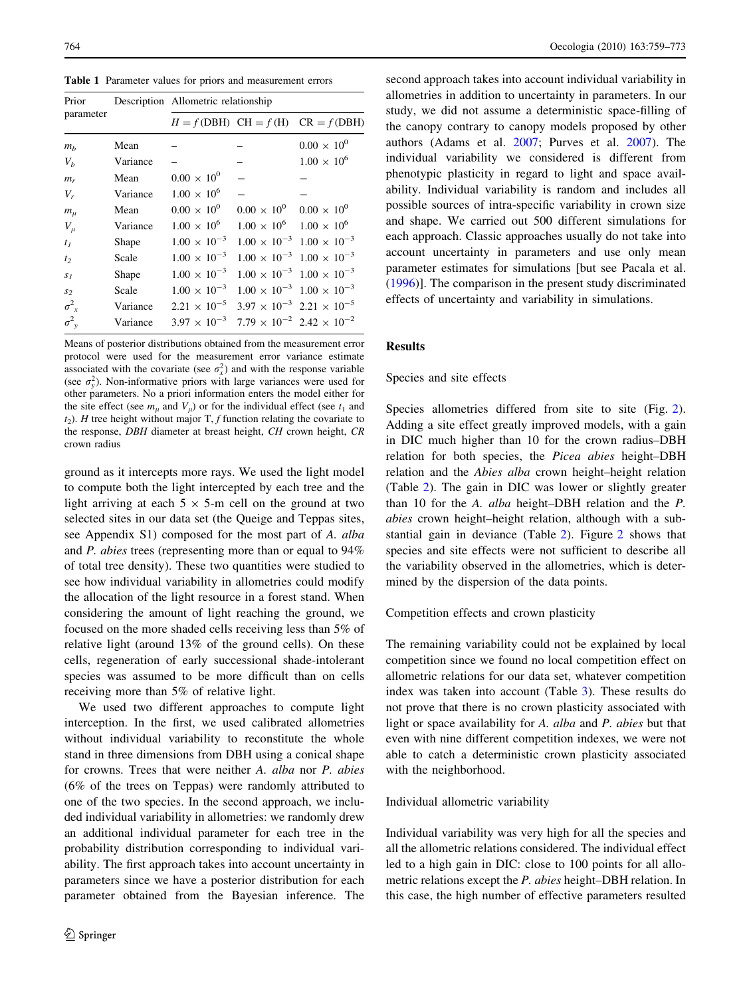<span id="page-5-0"></span>Table 1 Parameter values for priors and measurement errors

| Mean     |                       |                      | $0.00 \times 10^{0}$                                                                                                                                                                                             |  |  |  |
|----------|-----------------------|----------------------|------------------------------------------------------------------------------------------------------------------------------------------------------------------------------------------------------------------|--|--|--|
| Variance |                       |                      | $1.00 \times 10^{6}$                                                                                                                                                                                             |  |  |  |
| Mean     | $0.00 \times 10^{0}$  |                      |                                                                                                                                                                                                                  |  |  |  |
| Variance | $1.00 \times 10^{6}$  |                      |                                                                                                                                                                                                                  |  |  |  |
| Mean     | $0.00 \times 10^{0}$  | $0.00 \times 10^{0}$ | $0.00 \times 10^{0}$                                                                                                                                                                                             |  |  |  |
| Variance | $1.00 \times 10^{6}$  |                      |                                                                                                                                                                                                                  |  |  |  |
| Shape    | $1.00 \times 10^{-3}$ |                      | $1.00 \times 10^{-3}$ $1.00 \times 10^{-3}$                                                                                                                                                                      |  |  |  |
| Scale    | $1.00 \times 10^{-3}$ |                      | $1.00 \times 10^{-3}$ $1.00 \times 10^{-3}$                                                                                                                                                                      |  |  |  |
| Shape    | $1.00 \times 10^{-3}$ |                      | $1.00 \times 10^{-3}$ $1.00 \times 10^{-3}$                                                                                                                                                                      |  |  |  |
| Scale    | $1.00 \times 10^{-3}$ |                      | $1.00 \times 10^{-3}$ $1.00 \times 10^{-3}$                                                                                                                                                                      |  |  |  |
| Variance | $2.21 \times 10^{-5}$ |                      |                                                                                                                                                                                                                  |  |  |  |
| Variance | $3.97 \times 10^{-3}$ |                      |                                                                                                                                                                                                                  |  |  |  |
|          |                       |                      | Description Allometric relationship<br>$H = f(DBH)$ CH = f(H) CR = f(DBH)<br>$1.00 \times 10^6$ $1.00 \times 10^6$<br>$3.97 \times 10^{-3}$ 2.21 $\times 10^{-5}$<br>$7.79 \times 10^{-2}$ 2.42 $\times 10^{-2}$ |  |  |  |

Means of posterior distributions obtained from the measurement error protocol were used for the measurement error variance estimate associated with the covariate (see  $\sigma_x^2$ ) and with the response variable (see  $\sigma_y^2$ ). Non-informative priors with large variances were used for other parameters. No a priori information enters the model either for the site effect (see  $m_{\mu}$  and  $V_{\mu}$ ) or for the individual effect (see  $t_1$  and  $t_2$ ). H tree height without major T, f function relating the covariate to the response, DBH diameter at breast height, CH crown height, CR crown radius

ground as it intercepts more rays. We used the light model to compute both the light intercepted by each tree and the light arriving at each  $5 \times 5$ -m cell on the ground at two selected sites in our data set (the Queige and Teppas sites, see Appendix S1) composed for the most part of A. alba and P. abies trees (representing more than or equal to 94% of total tree density). These two quantities were studied to see how individual variability in allometries could modify the allocation of the light resource in a forest stand. When considering the amount of light reaching the ground, we focused on the more shaded cells receiving less than 5% of relative light (around 13% of the ground cells). On these cells, regeneration of early successional shade-intolerant species was assumed to be more difficult than on cells receiving more than 5% of relative light.

We used two different approaches to compute light interception. In the first, we used calibrated allometries without individual variability to reconstitute the whole stand in three dimensions from DBH using a conical shape for crowns. Trees that were neither A. alba nor P. abies (6% of the trees on Teppas) were randomly attributed to one of the two species. In the second approach, we included individual variability in allometries: we randomly drew an additional individual parameter for each tree in the probability distribution corresponding to individual variability. The first approach takes into account uncertainty in parameters since we have a posterior distribution for each parameter obtained from the Bayesian inference. The second approach takes into account individual variability in allometries in addition to uncertainty in parameters. In our study, we did not assume a deterministic space-filling of the canopy contrary to canopy models proposed by other authors (Adams et al. [2007](#page-12-0); Purves et al. [2007](#page-13-0)). The individual variability we considered is different from phenotypic plasticity in regard to light and space availability. Individual variability is random and includes all possible sources of intra-specific variability in crown size and shape. We carried out 500 different simulations for each approach. Classic approaches usually do not take into account uncertainty in parameters and use only mean parameter estimates for simulations [but see Pacala et al. [\(1996](#page-13-0))]. The comparison in the present study discriminated effects of uncertainty and variability in simulations.

# Results

#### Species and site effects

Species allometries differed from site to site (Fig. [2](#page-6-0)). Adding a site effect greatly improved models, with a gain in DIC much higher than 10 for the crown radius–DBH relation for both species, the Picea abies height–DBH relation and the Abies alba crown height–height relation (Table [2\)](#page-7-0). The gain in DIC was lower or slightly greater than 10 for the A. alba height–DBH relation and the P. abies crown height–height relation, although with a substantial gain in deviance (Table [2\)](#page-7-0). Figure [2](#page-6-0) shows that species and site effects were not sufficient to describe all the variability observed in the allometries, which is determined by the dispersion of the data points.

Competition effects and crown plasticity

The remaining variability could not be explained by local competition since we found no local competition effect on allometric relations for our data set, whatever competition index was taken into account (Table [3\)](#page-8-0). These results do not prove that there is no crown plasticity associated with light or space availability for A. alba and P. abies but that even with nine different competition indexes, we were not able to catch a deterministic crown plasticity associated with the neighborhood.

## Individual allometric variability

Individual variability was very high for all the species and all the allometric relations considered. The individual effect led to a high gain in DIC: close to 100 points for all allometric relations except the P. abies height–DBH relation. In this case, the high number of effective parameters resulted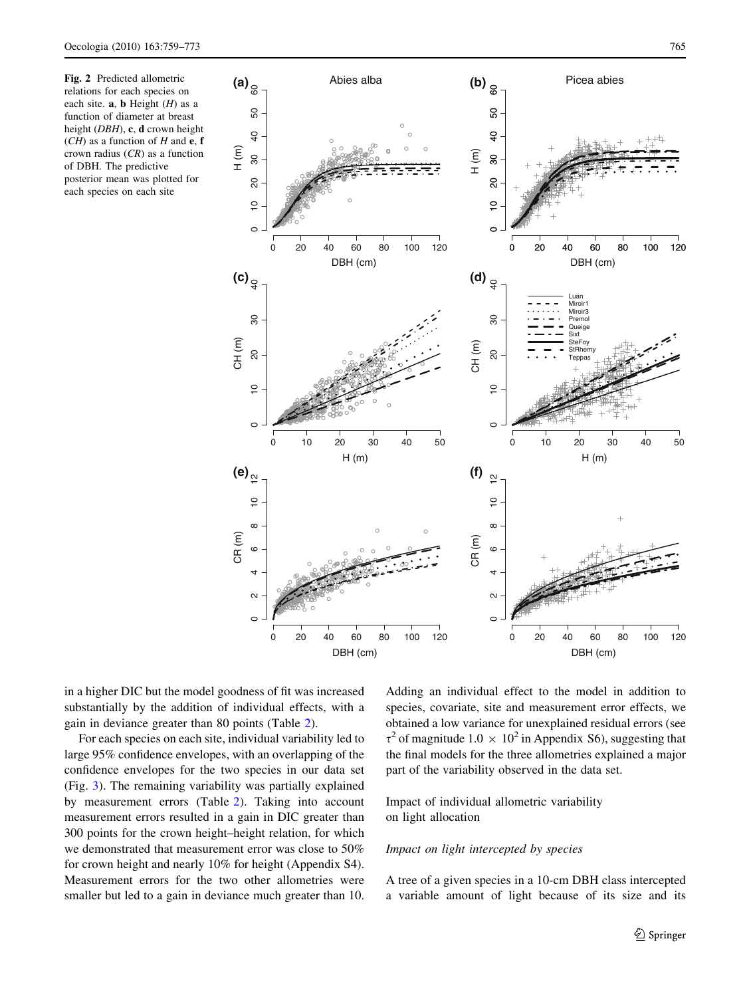<span id="page-6-0"></span>Fig. 2 Predicted allometric relations for each species on each site.  $a, b$  Height  $(H)$  as a function of diameter at breast height (DBH), c, d crown height  $(CH)$  as a function of H and e, f crown radius  $(CR)$  as a function of DBH. The predictive posterior mean was plotted for each species on each site



in a higher DIC but the model goodness of fit was increased substantially by the addition of individual effects, with a gain in deviance greater than 80 points (Table [2\)](#page-7-0).

For each species on each site, individual variability led to large 95% confidence envelopes, with an overlapping of the confidence envelopes for the two species in our data set (Fig. [3](#page-9-0)). The remaining variability was partially explained by measurement errors (Table [2](#page-7-0)). Taking into account measurement errors resulted in a gain in DIC greater than 300 points for the crown height–height relation, for which we demonstrated that measurement error was close to 50% for crown height and nearly 10% for height (Appendix S4). Measurement errors for the two other allometries were smaller but led to a gain in deviance much greater than 10.

Adding an individual effect to the model in addition to species, covariate, site and measurement error effects, we obtained a low variance for unexplained residual errors (see  $\tau^2$  of magnitude 1.0  $\times$  10<sup>2</sup> in Appendix S6), suggesting that the final models for the three allometries explained a major part of the variability observed in the data set.

# Impact of individual allometric variability on light allocation

# Impact on light intercepted by species

A tree of a given species in a 10-cm DBH class intercepted a variable amount of light because of its size and its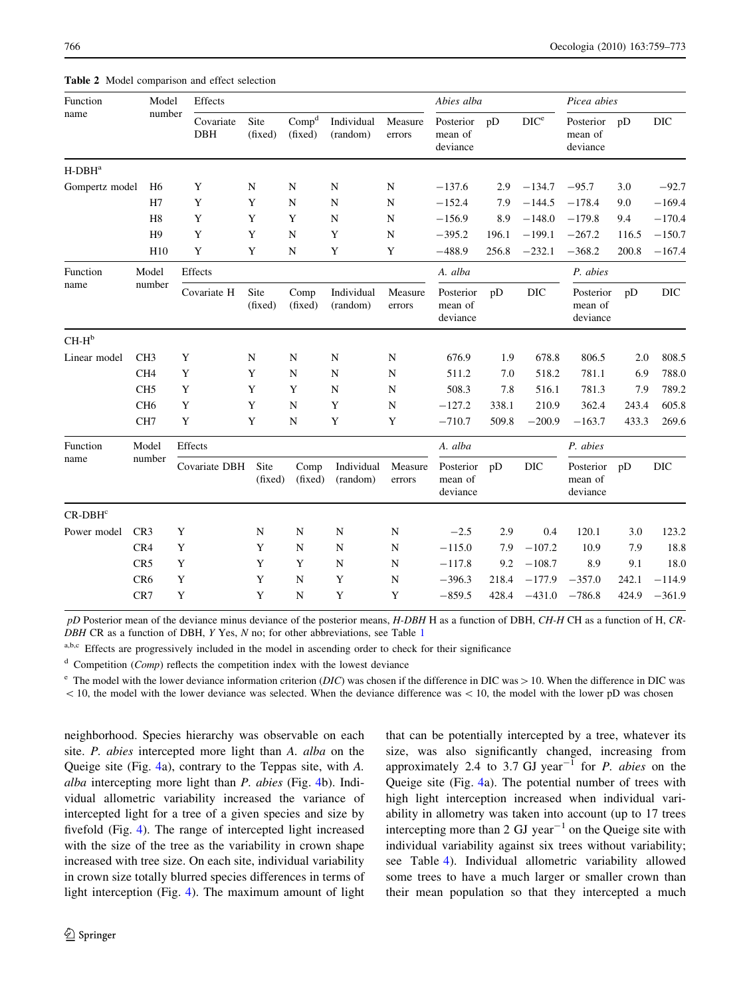| Function<br>name | Model           | Effects                 |                 |                              |                        | Abies alba        |                                  |       | Picea abies      |                                  |       |            |
|------------------|-----------------|-------------------------|-----------------|------------------------------|------------------------|-------------------|----------------------------------|-------|------------------|----------------------------------|-------|------------|
|                  | number          | Covariate<br><b>DBH</b> | Site<br>(fixed) | Comp <sup>d</sup><br>(fixed) | Individual<br>(random) | Measure<br>errors | Posterior<br>mean of<br>deviance | pD    | DIC <sup>e</sup> | Posterior<br>mean of<br>deviance | pD    | DIC        |
| $H$ -DB $H^a$    |                 |                         |                 |                              |                        |                   |                                  |       |                  |                                  |       |            |
| Gompertz model   | H <sub>6</sub>  | Y                       | N               | N                            | N                      | N                 | $-137.6$                         | 2.9   | $-134.7$         | $-95.7$                          | 3.0   | $-92.7$    |
|                  | H7              | Y                       | Y               | N                            | $\mathbf N$            | $\mathbf N$       | $-152.4$                         | 7.9   | $-144.5$         | $-178.4$                         | 9.0   | $-169.4$   |
|                  | H <sub>8</sub>  | $\mathbf Y$             | Y               | Y                            | $\mathbf N$            | $\mathbf N$       | $-156.9$                         | 8.9   | $-148.0$         | $-179.8$                         | 9.4   | $-170.4$   |
|                  | H <sub>9</sub>  | Y                       | Y               | N                            | Y                      | N                 | $-395.2$                         | 196.1 | $-199.1$         | $-267.2$                         | 116.5 | $-150.7$   |
|                  | H10             | Y                       | Y               | $\mathbf N$                  | Y                      | Y                 | $-488.9$                         | 256.8 | $-232.1$         | $-368.2$                         | 200.8 | $-167.4$   |
| Function         | Model           | Effects                 |                 |                              |                        |                   | A. alba                          |       |                  | P. abies                         |       |            |
| name             | number          | Covariate H             | Site<br>(fixed) | Comp<br>(fixed)              | Individual<br>(random) | Measure<br>errors | Posterior<br>mean of<br>deviance | pD    | $_{\rm DIC}$     | Posterior<br>mean of<br>deviance | pD    | <b>DIC</b> |
| $CH-H^b$         |                 |                         |                 |                              |                        |                   |                                  |       |                  |                                  |       |            |
| Linear model     | CH <sub>3</sub> | Y                       | N               | N                            | N                      | $\mathbf N$       | 676.9                            | 1.9   | 678.8            | 806.5                            | 2.0   | 808.5      |
|                  | CH <sub>4</sub> | Y                       | Y               | N                            | N                      | $\mathbf N$       | 511.2                            | 7.0   | 518.2            | 781.1                            | 6.9   | 788.0      |
|                  | CH <sub>5</sub> | Y                       | Y               | Y                            | N                      | N                 | 508.3                            | 7.8   | 516.1            | 781.3                            | 7.9   | 789.2      |
|                  | CH <sub>6</sub> | Y                       | Y               | $\mathbf N$                  | Y                      | $\mathbf N$       | $-127.2$                         | 338.1 | 210.9            | 362.4                            | 243.4 | 605.8      |
|                  | CH <sub>7</sub> | Y                       | Y               | $\mathbf N$                  | Y                      | $\mathbf Y$       | $-710.7$                         | 509.8 | $-200.9$         | $-163.7$                         | 433.3 | 269.6      |
| Function<br>name | Model<br>number | Effects                 |                 |                              |                        |                   | A. alba                          |       |                  | P. abies                         |       |            |
|                  |                 | Covariate DBH           | Site<br>(fixed) | Comp<br>(fixed)              | Individual<br>(random) | Measure<br>errors | Posterior<br>mean of<br>deviance | pD    | <b>DIC</b>       | Posterior<br>mean of<br>deviance | pD    | <b>DIC</b> |
| $CR$ -DB $Hc$    |                 |                         |                 |                              |                        |                   |                                  |       |                  |                                  |       |            |
| Power model      | CR <sub>3</sub> | Y                       | ${\bf N}$       | $\mathbf N$                  | ${\bf N}$              | $\mathbf N$       | $-2.5$                           | 2.9   | 0.4              | 120.1                            | 3.0   | 123.2      |
|                  | CR4             | Y                       | Y               | N                            | $\mathbf N$            | $\mathbf N$       | $-115.0$                         | 7.9   | $-107.2$         | 10.9                             | 7.9   | 18.8       |
|                  | CR5             | Y                       | Y               | Y                            | N                      | $\mathbf N$       | $-117.8$                         | 9.2   | $-108.7$         | 8.9                              | 9.1   | 18.0       |
|                  | CR <sub>6</sub> | Y                       | Y               | ${\bf N}$                    | Y                      | ${\bf N}$         | $-396.3$                         | 218.4 | $-177.9$         | $-357.0$                         | 242.1 | $-114.9$   |
|                  | CR7             | $\mathbf Y$             | Y               | $\mathbf N$                  | Y                      | $\mathbf Y$       | $-859.5$                         | 428.4 | $-431.0$         | $-786.8$                         | 424.9 | $-361.9$   |

<span id="page-7-0"></span>Table 2 Model comparison and effect selection

pD Posterior mean of the deviance minus deviance of the posterior means, H-DBH H as a function of DBH, CH-H CH as a function of H, CR- $DBH$  CR as a function of DBH, Y Yes, N no; for other abbreviations, see Table [1](#page-5-0)

a,b,c Effects are progressively included in the model in ascending order to check for their significance

 $d$  Competition (*Comp*) reflects the competition index with the lowest deviance

<sup>e</sup> The model with the lower deviance information criterion (*DIC*) was chosen if the difference in DIC was  $> 10$ . When the difference in DIC was  $\langle 10$ , the model with the lower deviance was selected. When the deviance difference was  $\langle 10$ , the model with the lower pD was chosen

neighborhood. Species hierarchy was observable on each site. P. abies intercepted more light than A. alba on the Queige site (Fig. [4](#page-10-0)a), contrary to the Teppas site, with A. alba intercepting more light than P. abies (Fig. [4](#page-10-0)b). Individual allometric variability increased the variance of intercepted light for a tree of a given species and size by fivefold (Fig. [4](#page-10-0)). The range of intercepted light increased with the size of the tree as the variability in crown shape increased with tree size. On each site, individual variability in crown size totally blurred species differences in terms of light interception (Fig. [4](#page-10-0)). The maximum amount of light that can be potentially intercepted by a tree, whatever its size, was also significantly changed, increasing from approximately 2.4 to 3.7 GJ year<sup>-1</sup> for *P. abies* on the Queige site (Fig. [4](#page-10-0)a). The potential number of trees with high light interception increased when individual variability in allometry was taken into account (up to 17 trees intercepting more than 2 GJ year<sup> $-1$ </sup> on the Queige site with individual variability against six trees without variability; see Table [4\)](#page-10-0). Individual allometric variability allowed some trees to have a much larger or smaller crown than their mean population so that they intercepted a much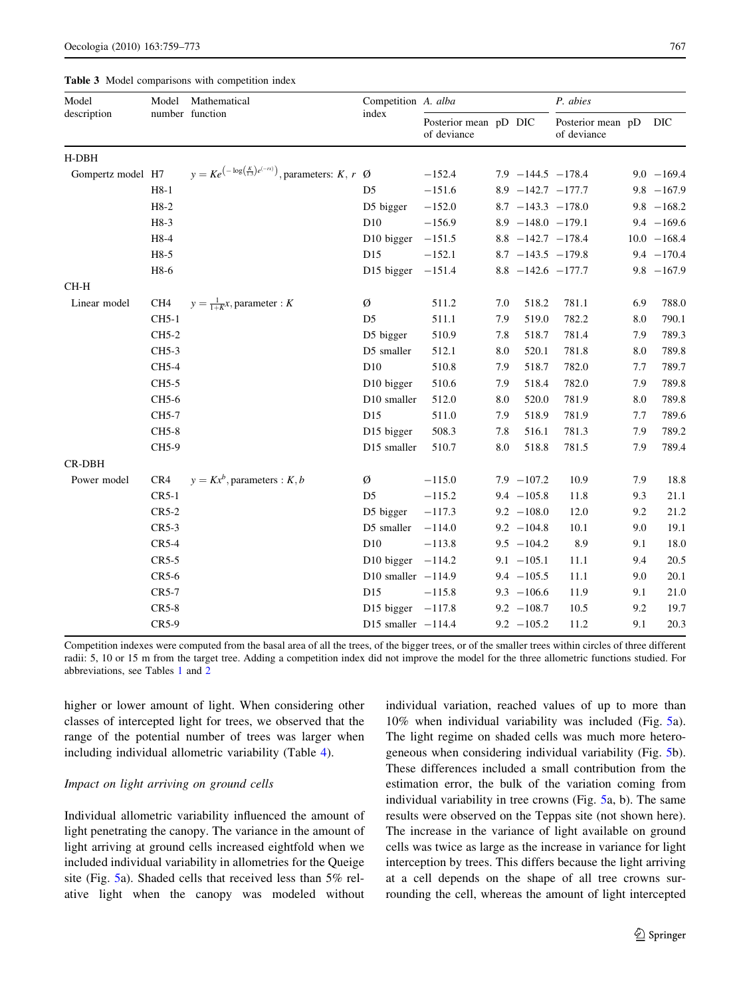|                   |                 | number function                                                             |                        |                                      |       |                       |                                  |     |                |
|-------------------|-----------------|-----------------------------------------------------------------------------|------------------------|--------------------------------------|-------|-----------------------|----------------------------------|-----|----------------|
| description       |                 |                                                                             | index                  | Posterior mean pD DIC<br>of deviance |       |                       | Posterior mean pD<br>of deviance |     | DIC            |
| H-DBH             |                 |                                                                             |                        |                                      |       |                       |                                  |     |                |
| Gompertz model H7 |                 | $y = Ke^{(-\log(\frac{K}{1.3})e^{(-rx)})}$ , parameters: $K, r \varnothing$ |                        | $-152.4$                             |       | $7.9 - 144.5 - 178.4$ |                                  |     | $9.0 - 169.4$  |
|                   | $H8-1$          |                                                                             | D <sub>5</sub>         | $-151.6$                             |       | $8.9 -142.7 -177.7$   |                                  |     | $9.8 - 167.9$  |
|                   | $H8-2$          |                                                                             | D5 bigger              | $-152.0$                             |       |                       | $8.7 -143.3 -178.0$              |     | $9.8 - 168.2$  |
|                   | H8-3            |                                                                             | D10                    | $-156.9$                             |       | $8.9 - 148.0 - 179.1$ |                                  |     | $9.4 - 169.6$  |
|                   | H8-4            |                                                                             | D <sub>10</sub> bigger | $-151.5$                             |       |                       | $8.8 - 142.7 - 178.4$            |     | $10.0 - 168.4$ |
|                   | H8-5            |                                                                             | D15                    | $-152.1$                             |       |                       | $8.7 -143.5 -179.8$              |     | $9.4 - 170.4$  |
|                   | H8-6            |                                                                             | D15 bigger $-151.4$    |                                      |       |                       | $8.8 - 142.6 - 177.7$            |     | $9.8 - 167.9$  |
| CH-H              |                 |                                                                             |                        |                                      |       |                       |                                  |     |                |
| Linear model      | CH <sub>4</sub> | $y = \frac{1}{1 + K}x$ , parameter : K                                      | Ø                      | 511.2                                | 7.0   | 518.2                 | 781.1                            | 6.9 | 788.0          |
|                   | CH5-1           |                                                                             | D <sub>5</sub>         | 511.1                                | 7.9   | 519.0                 | 782.2                            | 8.0 | 790.1          |
|                   | CH5-2           |                                                                             | D5 bigger              | 510.9                                | 7.8   | 518.7                 | 781.4                            | 7.9 | 789.3          |
|                   | CH5-3           |                                                                             | D5 smaller             | 512.1                                | 8.0   | 520.1                 | 781.8                            | 8.0 | 789.8          |
|                   | CH5-4           |                                                                             | D10                    | 510.8                                | 7.9   | 518.7                 | 782.0                            | 7.7 | 789.7          |
|                   | CH5-5           |                                                                             | D10 bigger             | 510.6                                | 7.9   | 518.4                 | 782.0                            | 7.9 | 789.8          |
|                   | CH5-6           |                                                                             | D10 smaller            | 512.0                                | 8.0   | 520.0                 | 781.9                            | 8.0 | 789.8          |
|                   | CH5-7           |                                                                             | D15                    | 511.0                                | 7.9   | 518.9                 | 781.9                            | 7.7 | 789.6          |
|                   | <b>CH5-8</b>    |                                                                             | D15 bigger             | 508.3                                | 7.8   | 516.1                 | 781.3                            | 7.9 | 789.2          |
| CH5-9             | D15 smaller     | 510.7                                                                       | 8.0                    | 518.8                                | 781.5 | 7.9                   | 789.4                            |     |                |
| CR-DBH            |                 |                                                                             |                        |                                      |       |                       |                                  |     |                |
| Power model       | CR4             | $y = Kx^b$ , parameters : K, b                                              | Ø                      | $-115.0$                             |       | $7.9 - 107.2$         | 10.9                             | 7.9 | 18.8           |
|                   | $CR5-1$         |                                                                             | D <sub>5</sub>         | $-115.2$                             |       | $9.4 - 105.8$         | 11.8                             | 9.3 | 21.1           |
|                   | $CR5-2$         |                                                                             | D5 bigger              | $-117.3$                             |       | $9.2 - 108.0$         | 12.0                             | 9.2 | 21.2           |
|                   | $CR5-3$         |                                                                             | D5 smaller             | $-114.0$                             |       | $9.2 - 104.8$         | 10.1                             | 9.0 | 19.1           |
|                   | $CR5-4$         |                                                                             | D <sub>10</sub>        | $-113.8$                             |       | $9.5 - 104.2$         | 8.9                              | 9.1 | 18.0           |
|                   | $CR5-5$         |                                                                             | D10 bigger $-114.2$    |                                      |       | $9.1 - 105.1$         | 11.1                             | 9.4 | 20.5           |
|                   | $CR5-6$         |                                                                             | D10 smaller $-114.9$   |                                      |       | $9.4 - 105.5$         | 11.1                             | 9.0 | 20.1           |
|                   | CR5-7           |                                                                             | D15                    | $-115.8$                             |       | $9.3 - 106.6$         | 11.9                             | 9.1 | 21.0           |
|                   | $CR5-8$         |                                                                             | D15 bigger $-117.8$    |                                      |       | $9.2 - 108.7$         | 10.5                             | 9.2 | 19.7           |
|                   | CR5-9           |                                                                             | D15 smaller $-114.4$   |                                      |       | $9.2 - 105.2$         | 11.2                             | 9.1 | 20.3           |
|                   |                 |                                                                             |                        |                                      |       |                       |                                  |     |                |

Competition A. alba

Model

<span id="page-8-0"></span>

| <b>Table 3</b> Model comparisons with competition index |  |  |  |  |
|---------------------------------------------------------|--|--|--|--|
|---------------------------------------------------------|--|--|--|--|

Mathematical function

Model

Competition indexes were computed from the basal area of all the trees, of the bigger trees, or of the smaller trees within circles of three different radii: 5, 10 or 15 m from the target tree. Adding a competition index did not improve the model for the three allometric functions studied. For abbreviations, see Tables [1](#page-5-0) and [2](#page-7-0)

higher or lower amount of light. When considering other classes of intercepted light for trees, we observed that the range of the potential number of trees was larger when including individual allometric variability (Table [4](#page-10-0)).

# Impact on light arriving on ground cells

Individual allometric variability influenced the amount of light penetrating the canopy. The variance in the amount of light arriving at ground cells increased eightfold when we included individual variability in allometries for the Queige site (Fig. [5a](#page-11-0)). Shaded cells that received less than 5% relative light when the canopy was modeled without individual variation, reached values of up to more than 10% when individual variability was included (Fig. [5a](#page-11-0)). The light regime on shaded cells was much more heterogeneous when considering individual variability (Fig. [5](#page-11-0)b). These differences included a small contribution from the estimation error, the bulk of the variation coming from individual variability in tree crowns (Fig. [5a](#page-11-0), b). The same results were observed on the Teppas site (not shown here). The increase in the variance of light available on ground cells was twice as large as the increase in variance for light interception by trees. This differs because the light arriving at a cell depends on the shape of all tree crowns surrounding the cell, whereas the amount of light intercepted

P. abies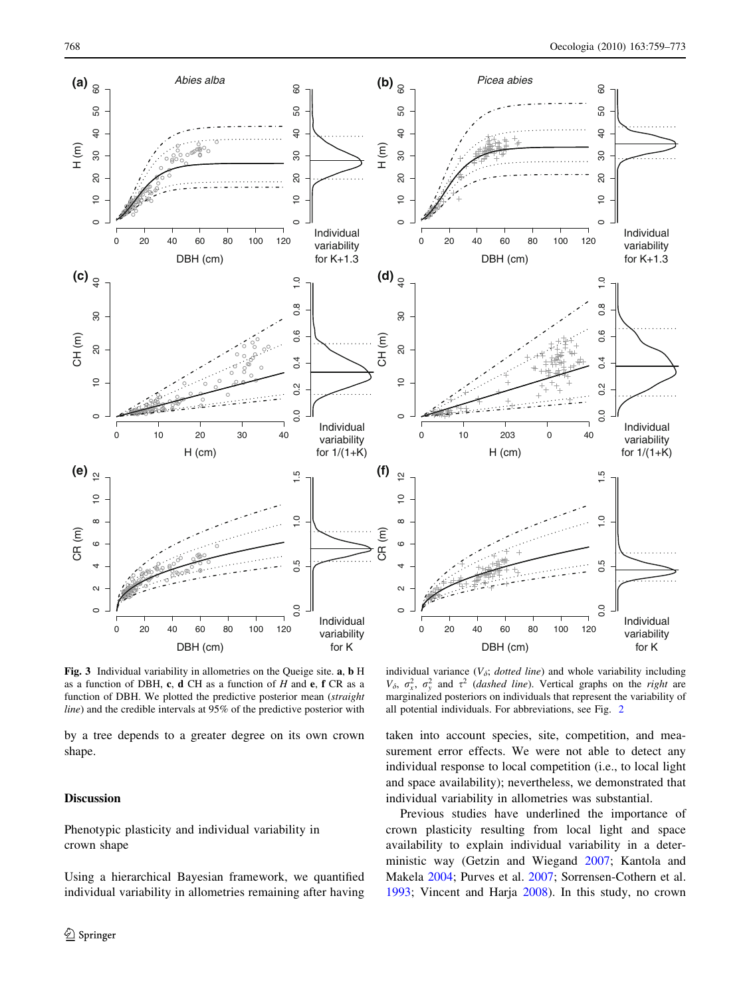80

 $\overline{c}$ 

 $\overline{a}$ 

 $\circ$ 

 $\frac{0}{1}$ 

 $0.\overline{8}$ 

 $\overline{Q}$ 

60 SO

> Individual variability

> Individual variability for K

Individual variability for  $1/(1+\bar{K})$ 

0.0 0.2 0.4 0.6 0.8 1.0

 $0.4$ 

 $0.\overline{2}$ 

 $0.0$ 

 $\overline{5}$ 

 $0.\overline{6}$ 

0.0 0.5 1.0 1.5

 $0.5$ 

 $0.0$ 

o

<span id="page-9-0"></span>

Fig. 3 Individual variability in allometries on the Queige site. a, b H as a function of DBH, c, d CH as a function of  $H$  and e, f CR as a function of DBH. We plotted the predictive posterior mean (straight line) and the credible intervals at 95% of the predictive posterior with

by a tree depends to a greater degree on its own crown shape.

# Discussion

Phenotypic plasticity and individual variability in crown shape

Using a hierarchical Bayesian framework, we quantified individual variability in allometries remaining after having

individual variance  $(V_{\delta}; \text{ dotted line})$  and whole variability including  $V_{\delta}$ ,  $\sigma_x^2$ ,  $\sigma_y^2$  and  $\tau^2$  (*dashed line*). Vertical graphs on the *right* are marginalized posteriors on individuals that represent the variability of all potential individuals. For abbreviations, see Fig. [2](#page-6-0)

taken into account species, site, competition, and measurement error effects. We were not able to detect any individual response to local competition (i.e., to local light and space availability); nevertheless, we demonstrated that individual variability in allometries was substantial.

Previous studies have underlined the importance of crown plasticity resulting from local light and space availability to explain individual variability in a deterministic way (Getzin and Wiegand [2007;](#page-13-0) Kantola and Makela [2004](#page-13-0); Purves et al. [2007](#page-13-0); Sorrensen-Cothern et al. [1993](#page-13-0); Vincent and Harja [2008\)](#page-13-0). In this study, no crown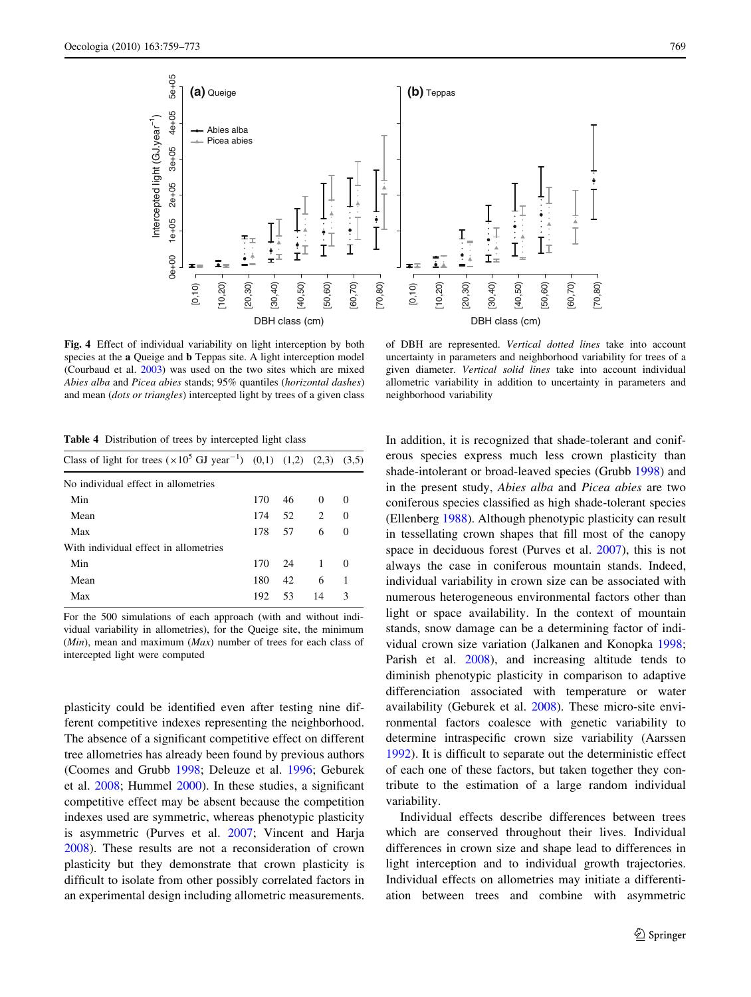<span id="page-10-0"></span>

Fig. 4 Effect of individual variability on light interception by both species at the a Queige and b Teppas site. A light interception model (Courbaud et al. [2003\)](#page-13-0) was used on the two sites which are mixed Abies alba and Picea abies stands; 95% quantiles (horizontal dashes) and mean (dots or triangles) intercepted light by trees of a given class

of DBH are represented. Vertical dotted lines take into account uncertainty in parameters and neighborhood variability for trees of a given diameter. Vertical solid lines take into account individual allometric variability in addition to uncertainty in parameters and neighborhood variability

Table 4 Distribution of trees by intercepted light class

| Class of light for trees $(\times 10^5 \text{ GJ year}^{-1})$ (0,1) (1,2) (2,3) (3,5) |     |    |                |               |
|---------------------------------------------------------------------------------------|-----|----|----------------|---------------|
| No individual effect in allometries                                                   |     |    |                |               |
| Min                                                                                   | 170 | 46 | $\theta$       | $\Omega$      |
| Mean                                                                                  | 174 | 52 | 2              | $\theta$      |
| Max                                                                                   | 178 | 57 | 6              | $\Omega$      |
| With individual effect in allometries                                                 |     |    |                |               |
| Min                                                                                   | 170 | 24 | $\overline{1}$ | $\Omega$      |
| Mean                                                                                  | 180 | 42 | 6              | $\mathbf{1}$  |
| Max                                                                                   | 192 | 53 | 14             | $\mathcal{R}$ |
|                                                                                       |     |    |                |               |

For the 500 simulations of each approach (with and without individual variability in allometries), for the Queige site, the minimum  $(Min)$ , mean and maximum  $(Max)$  number of trees for each class of intercepted light were computed

plasticity could be identified even after testing nine different competitive indexes representing the neighborhood. The absence of a significant competitive effect on different tree allometries has already been found by previous authors (Coomes and Grubb [1998](#page-12-0); Deleuze et al. [1996;](#page-13-0) Geburek et al. [2008](#page-13-0); Hummel [2000](#page-13-0)). In these studies, a significant competitive effect may be absent because the competition indexes used are symmetric, whereas phenotypic plasticity is asymmetric (Purves et al. [2007;](#page-13-0) Vincent and Harja [2008\)](#page-13-0). These results are not a reconsideration of crown plasticity but they demonstrate that crown plasticity is difficult to isolate from other possibly correlated factors in an experimental design including allometric measurements.

In addition, it is recognized that shade-tolerant and coniferous species express much less crown plasticity than shade-intolerant or broad-leaved species (Grubb [1998\)](#page-13-0) and in the present study, Abies alba and Picea abies are two coniferous species classified as high shade-tolerant species (Ellenberg [1988\)](#page-13-0). Although phenotypic plasticity can result in tessellating crown shapes that fill most of the canopy space in deciduous forest (Purves et al. [2007](#page-13-0)), this is not always the case in coniferous mountain stands. Indeed, individual variability in crown size can be associated with numerous heterogeneous environmental factors other than light or space availability. In the context of mountain stands, snow damage can be a determining factor of individual crown size variation (Jalkanen and Konopka [1998](#page-13-0); Parish et al. [2008\)](#page-13-0), and increasing altitude tends to diminish phenotypic plasticity in comparison to adaptive differenciation associated with temperature or water availability (Geburek et al. [2008\)](#page-13-0). These micro-site environmental factors coalesce with genetic variability to determine intraspecific crown size variability (Aarssen [1992](#page-12-0)). It is difficult to separate out the deterministic effect of each one of these factors, but taken together they contribute to the estimation of a large random individual variability.

Individual effects describe differences between trees which are conserved throughout their lives. Individual differences in crown size and shape lead to differences in light interception and to individual growth trajectories. Individual effects on allometries may initiate a differentiation between trees and combine with asymmetric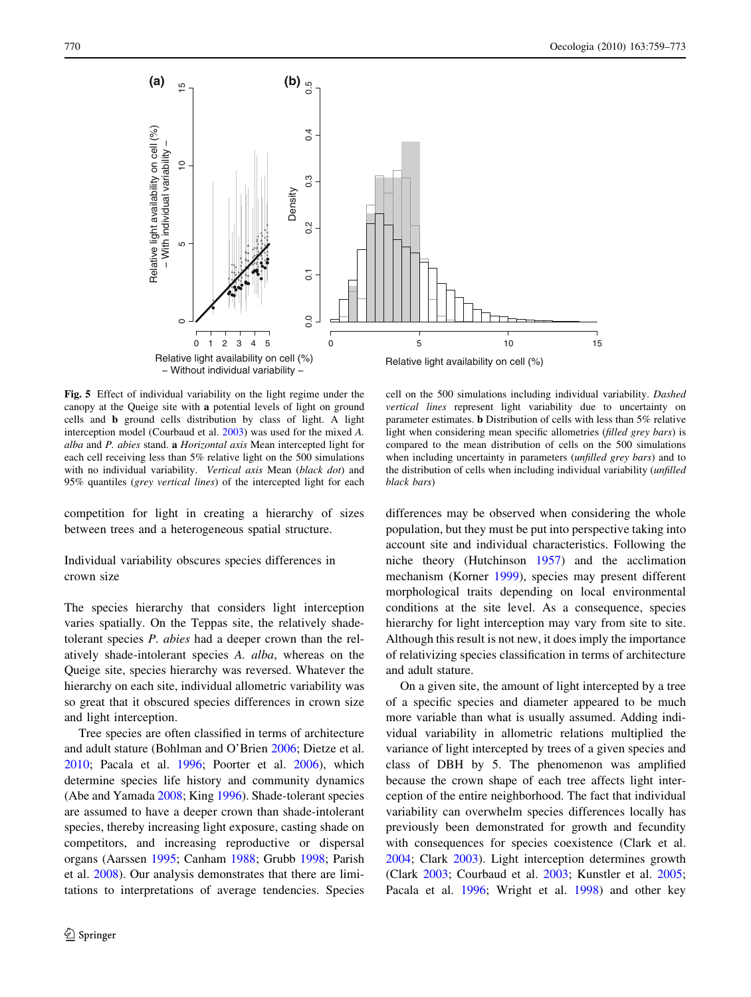<span id="page-11-0"></span>

Fig. 5 Effect of individual variability on the light regime under the canopy at the Queige site with a potential levels of light on ground cells and b ground cells distribution by class of light. A light interception model (Courbaud et al. [2003](#page-13-0)) was used for the mixed A. alba and P. abies stand. a Horizontal axis Mean intercepted light for each cell receiving less than 5% relative light on the 500 simulations with no individual variability. Vertical axis Mean (black dot) and 95% quantiles (grey vertical lines) of the intercepted light for each

competition for light in creating a hierarchy of sizes between trees and a heterogeneous spatial structure.

Individual variability obscures species differences in crown size

The species hierarchy that considers light interception varies spatially. On the Teppas site, the relatively shadetolerant species P. abies had a deeper crown than the relatively shade-intolerant species A. alba, whereas on the Queige site, species hierarchy was reversed. Whatever the hierarchy on each site, individual allometric variability was so great that it obscured species differences in crown size and light interception.

Tree species are often classified in terms of architecture and adult stature (Bohlman and O'Brien [2006](#page-12-0); Dietze et al. [2010;](#page-13-0) Pacala et al. [1996](#page-13-0); Poorter et al. [2006](#page-13-0)), which determine species life history and community dynamics (Abe and Yamada [2008;](#page-12-0) King [1996\)](#page-13-0). Shade-tolerant species are assumed to have a deeper crown than shade-intolerant species, thereby increasing light exposure, casting shade on competitors, and increasing reproductive or dispersal organs (Aarssen [1995;](#page-12-0) Canham [1988;](#page-12-0) Grubb [1998;](#page-13-0) Parish et al. [2008](#page-13-0)). Our analysis demonstrates that there are limitations to interpretations of average tendencies. Species

cell on the 500 simulations including individual variability. Dashed vertical lines represent light variability due to uncertainty on parameter estimates. b Distribution of cells with less than 5% relative light when considering mean specific allometries (filled grey bars) is compared to the mean distribution of cells on the 500 simulations when including uncertainty in parameters *(unfilled grey bars)* and to the distribution of cells when including individual variability (unfilled black bars)

differences may be observed when considering the whole population, but they must be put into perspective taking into account site and individual characteristics. Following the niche theory (Hutchinson [1957](#page-13-0)) and the acclimation mechanism (Korner [1999\)](#page-13-0), species may present different morphological traits depending on local environmental conditions at the site level. As a consequence, species hierarchy for light interception may vary from site to site. Although this result is not new, it does imply the importance of relativizing species classification in terms of architecture and adult stature.

On a given site, the amount of light intercepted by a tree of a specific species and diameter appeared to be much more variable than what is usually assumed. Adding individual variability in allometric relations multiplied the variance of light intercepted by trees of a given species and class of DBH by 5. The phenomenon was amplified because the crown shape of each tree affects light interception of the entire neighborhood. The fact that individual variability can overwhelm species differences locally has previously been demonstrated for growth and fecundity with consequences for species coexistence (Clark et al. [2004](#page-12-0); Clark [2003\)](#page-12-0). Light interception determines growth (Clark [2003;](#page-12-0) Courbaud et al. [2003](#page-13-0); Kunstler et al. [2005](#page-13-0); Pacala et al. [1996;](#page-13-0) Wright et al. [1998](#page-13-0)) and other key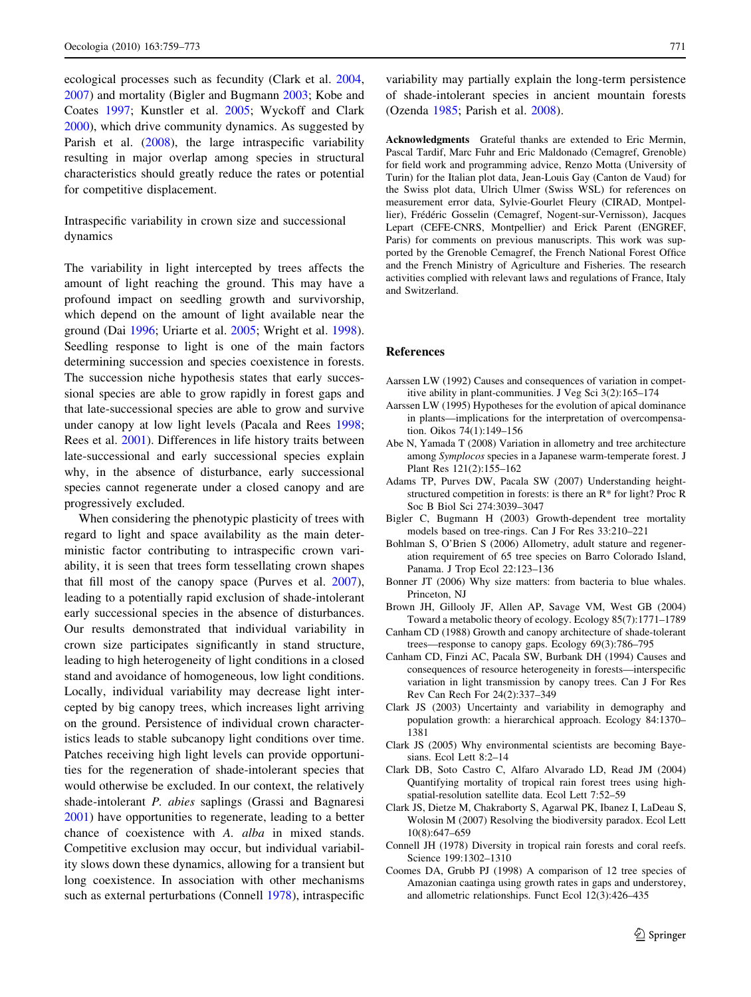<span id="page-12-0"></span>ecological processes such as fecundity (Clark et al. 2004, 2007) and mortality (Bigler and Bugmann 2003; Kobe and Coates [1997](#page-13-0); Kunstler et al. [2005](#page-13-0); Wyckoff and Clark [2000\)](#page-13-0), which drive community dynamics. As suggested by Parish et al. [\(2008](#page-13-0)), the large intraspecific variability resulting in major overlap among species in structural characteristics should greatly reduce the rates or potential for competitive displacement.

Intraspecific variability in crown size and successional dynamics

The variability in light intercepted by trees affects the amount of light reaching the ground. This may have a profound impact on seedling growth and survivorship, which depend on the amount of light available near the ground (Dai [1996](#page-13-0); Uriarte et al. [2005](#page-13-0); Wright et al. [1998](#page-13-0)). Seedling response to light is one of the main factors determining succession and species coexistence in forests. The succession niche hypothesis states that early successional species are able to grow rapidly in forest gaps and that late-successional species are able to grow and survive under canopy at low light levels (Pacala and Rees [1998](#page-13-0); Rees et al. [2001](#page-13-0)). Differences in life history traits between late-successional and early successional species explain why, in the absence of disturbance, early successional species cannot regenerate under a closed canopy and are progressively excluded.

When considering the phenotypic plasticity of trees with regard to light and space availability as the main deterministic factor contributing to intraspecific crown variability, it is seen that trees form tessellating crown shapes that fill most of the canopy space (Purves et al. [2007](#page-13-0)), leading to a potentially rapid exclusion of shade-intolerant early successional species in the absence of disturbances. Our results demonstrated that individual variability in crown size participates significantly in stand structure, leading to high heterogeneity of light conditions in a closed stand and avoidance of homogeneous, low light conditions. Locally, individual variability may decrease light intercepted by big canopy trees, which increases light arriving on the ground. Persistence of individual crown characteristics leads to stable subcanopy light conditions over time. Patches receiving high light levels can provide opportunities for the regeneration of shade-intolerant species that would otherwise be excluded. In our context, the relatively shade-intolerant P. abies saplings (Grassi and Bagnaresi [2001\)](#page-13-0) have opportunities to regenerate, leading to a better chance of coexistence with A. alba in mixed stands. Competitive exclusion may occur, but individual variability slows down these dynamics, allowing for a transient but long coexistence. In association with other mechanisms such as external perturbations (Connell 1978), intraspecific

variability may partially explain the long-term persistence of shade-intolerant species in ancient mountain forests (Ozenda [1985](#page-13-0); Parish et al. [2008](#page-13-0)).

Acknowledgments Grateful thanks are extended to Eric Mermin, Pascal Tardif, Marc Fuhr and Eric Maldonado (Cemagref, Grenoble) for field work and programming advice, Renzo Motta (University of Turin) for the Italian plot data, Jean-Louis Gay (Canton de Vaud) for the Swiss plot data, Ulrich Ulmer (Swiss WSL) for references on measurement error data, Sylvie-Gourlet Fleury (CIRAD, Montpellier), Frédéric Gosselin (Cemagref, Nogent-sur-Vernisson), Jacques Lepart (CEFE-CNRS, Montpellier) and Erick Parent (ENGREF, Paris) for comments on previous manuscripts. This work was supported by the Grenoble Cemagref, the French National Forest Office and the French Ministry of Agriculture and Fisheries. The research activities complied with relevant laws and regulations of France, Italy and Switzerland.

## References

- Aarssen LW (1992) Causes and consequences of variation in competitive ability in plant-communities. J Veg Sci 3(2):165–174
- Aarssen LW (1995) Hypotheses for the evolution of apical dominance in plants—implications for the interpretation of overcompensation. Oikos 74(1):149–156
- Abe N, Yamada T (2008) Variation in allometry and tree architecture among Symplocos species in a Japanese warm-temperate forest. J Plant Res 121(2):155–162
- Adams TP, Purves DW, Pacala SW (2007) Understanding heightstructured competition in forests: is there an R\* for light? Proc R Soc B Biol Sci 274:3039–3047
- Bigler C, Bugmann H (2003) Growth-dependent tree mortality models based on tree-rings. Can J For Res 33:210–221
- Bohlman S, O'Brien S (2006) Allometry, adult stature and regeneration requirement of 65 tree species on Barro Colorado Island, Panama. J Trop Ecol 22:123–136
- Bonner JT (2006) Why size matters: from bacteria to blue whales. Princeton, NJ
- Brown JH, Gillooly JF, Allen AP, Savage VM, West GB (2004) Toward a metabolic theory of ecology. Ecology 85(7):1771–1789
- Canham CD (1988) Growth and canopy architecture of shade-tolerant trees—response to canopy gaps. Ecology 69(3):786–795
- Canham CD, Finzi AC, Pacala SW, Burbank DH (1994) Causes and consequences of resource heterogeneity in forests—interspecific variation in light transmission by canopy trees. Can J For Res Rev Can Rech For 24(2):337–349
- Clark JS (2003) Uncertainty and variability in demography and population growth: a hierarchical approach. Ecology 84:1370– 1381
- Clark JS (2005) Why environmental scientists are becoming Bayesians. Ecol Lett 8:2–14
- Clark DB, Soto Castro C, Alfaro Alvarado LD, Read JM (2004) Quantifying mortality of tropical rain forest trees using highspatial-resolution satellite data. Ecol Lett 7:52–59
- Clark JS, Dietze M, Chakraborty S, Agarwal PK, Ibanez I, LaDeau S, Wolosin M (2007) Resolving the biodiversity paradox. Ecol Lett 10(8):647–659
- Connell JH (1978) Diversity in tropical rain forests and coral reefs. Science 199:1302–1310
- Coomes DA, Grubb PJ (1998) A comparison of 12 tree species of Amazonian caatinga using growth rates in gaps and understorey, and allometric relationships. Funct Ecol 12(3):426–435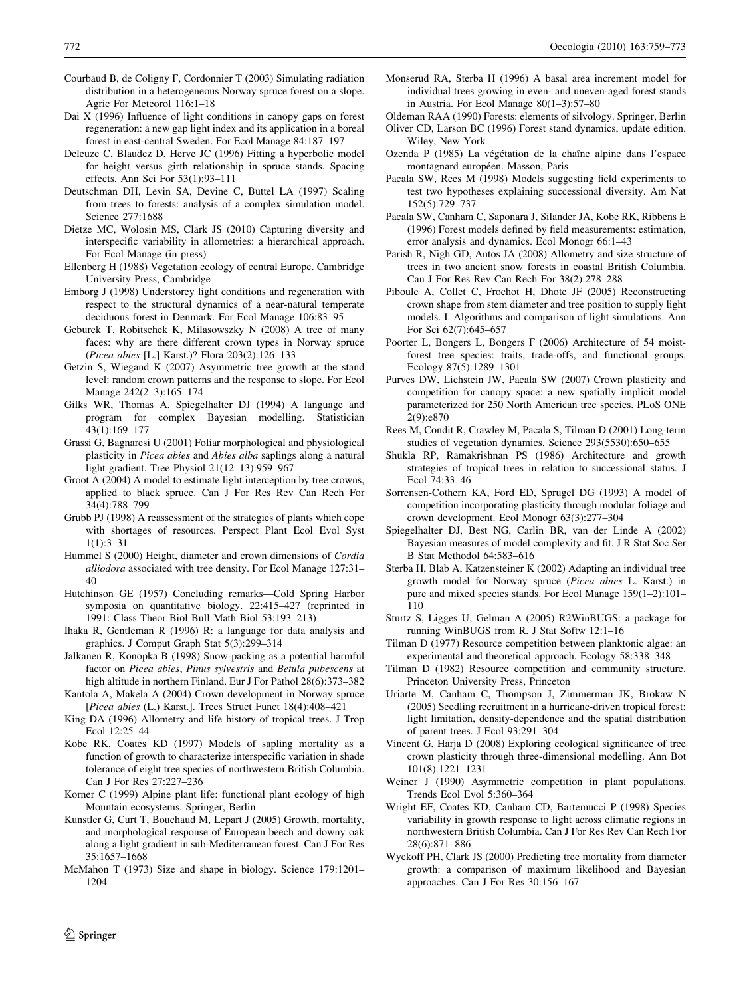- <span id="page-13-0"></span>Courbaud B, de Coligny F, Cordonnier T (2003) Simulating radiation distribution in a heterogeneous Norway spruce forest on a slope. Agric For Meteorol 116:1–18
- Dai X (1996) Influence of light conditions in canopy gaps on forest regeneration: a new gap light index and its application in a boreal forest in east-central Sweden. For Ecol Manage 84:187–197
- Deleuze C, Blaudez D, Herve JC (1996) Fitting a hyperbolic model for height versus girth relationship in spruce stands. Spacing effects. Ann Sci For 53(1):93–111
- Deutschman DH, Levin SA, Devine C, Buttel LA (1997) Scaling from trees to forests: analysis of a complex simulation model. Science 277:1688
- Dietze MC, Wolosin MS, Clark JS (2010) Capturing diversity and interspecific variability in allometries: a hierarchical approach. For Ecol Manage (in press)
- Ellenberg H (1988) Vegetation ecology of central Europe. Cambridge University Press, Cambridge
- Emborg J (1998) Understorey light conditions and regeneration with respect to the structural dynamics of a near-natural temperate deciduous forest in Denmark. For Ecol Manage 106:83–95
- Geburek T, Robitschek K, Milasowszky N (2008) A tree of many faces: why are there different crown types in Norway spruce (Picea abies [L.] Karst.)? Flora 203(2):126–133
- Getzin S, Wiegand K (2007) Asymmetric tree growth at the stand level: random crown patterns and the response to slope. For Ecol Manage 242(2–3):165–174
- Gilks WR, Thomas A, Spiegelhalter DJ (1994) A language and program for complex Bayesian modelling. Statistician 43(1):169–177
- Grassi G, Bagnaresi U (2001) Foliar morphological and physiological plasticity in Picea abies and Abies alba saplings along a natural light gradient. Tree Physiol 21(12–13):959–967
- Groot A (2004) A model to estimate light interception by tree crowns, applied to black spruce. Can J For Res Rev Can Rech For 34(4):788–799
- Grubb PJ (1998) A reassessment of the strategies of plants which cope with shortages of resources. Perspect Plant Ecol Evol Syst 1(1):3–31
- Hummel S (2000) Height, diameter and crown dimensions of Cordia alliodora associated with tree density. For Ecol Manage 127:31– 40
- Hutchinson GE (1957) Concluding remarks—Cold Spring Harbor symposia on quantitative biology. 22:415–427 (reprinted in 1991: Class Theor Biol Bull Math Biol 53:193–213)
- Ihaka R, Gentleman R (1996) R: a language for data analysis and graphics. J Comput Graph Stat 5(3):299–314
- Jalkanen R, Konopka B (1998) Snow-packing as a potential harmful factor on Picea abies, Pinus sylvestris and Betula pubescens at high altitude in northern Finland. Eur J For Pathol 28(6):373–382
- Kantola A, Makela A (2004) Crown development in Norway spruce [Picea abies (L.) Karst.]. Trees Struct Funct 18(4):408–421
- King DA (1996) Allometry and life history of tropical trees. J Trop Ecol 12:25–44
- Kobe RK, Coates KD (1997) Models of sapling mortality as a function of growth to characterize interspecific variation in shade tolerance of eight tree species of northwestern British Columbia. Can J For Res 27:227–236
- Korner C (1999) Alpine plant life: functional plant ecology of high Mountain ecosystems. Springer, Berlin
- Kunstler G, Curt T, Bouchaud M, Lepart J (2005) Growth, mortality, and morphological response of European beech and downy oak along a light gradient in sub-Mediterranean forest. Can J For Res 35:1657–1668
- McMahon T (1973) Size and shape in biology. Science 179:1201– 1204
- Monserud RA, Sterba H (1996) A basal area increment model for individual trees growing in even- and uneven-aged forest stands in Austria. For Ecol Manage 80(1–3):57–80
- Oldeman RAA (1990) Forests: elements of silvology. Springer, Berlin
- Oliver CD, Larson BC (1996) Forest stand dynamics, update edition. Wiley, New York
- Ozenda P (1985) La végétation de la chaîne alpine dans l'espace montagnard européen. Masson, Paris
- Pacala SW, Rees M (1998) Models suggesting field experiments to test two hypotheses explaining successional diversity. Am Nat 152(5):729–737
- Pacala SW, Canham C, Saponara J, Silander JA, Kobe RK, Ribbens E (1996) Forest models defined by field measurements: estimation, error analysis and dynamics. Ecol Monogr 66:1–43
- Parish R, Nigh GD, Antos JA (2008) Allometry and size structure of trees in two ancient snow forests in coastal British Columbia. Can J For Res Rev Can Rech For 38(2):278–288
- Piboule A, Collet C, Frochot H, Dhote JF (2005) Reconstructing crown shape from stem diameter and tree position to supply light models. I. Algorithms and comparison of light simulations. Ann For Sci 62(7):645–657
- Poorter L, Bongers L, Bongers F (2006) Architecture of 54 moistforest tree species: traits, trade-offs, and functional groups. Ecology 87(5):1289–1301
- Purves DW, Lichstein JW, Pacala SW (2007) Crown plasticity and competition for canopy space: a new spatially implicit model parameterized for 250 North American tree species. PLoS ONE 2(9):e870
- Rees M, Condit R, Crawley M, Pacala S, Tilman D (2001) Long-term studies of vegetation dynamics. Science 293(5530):650–655
- Shukla RP, Ramakrishnan PS (1986) Architecture and growth strategies of tropical trees in relation to successional status. J Ecol 74:33–46
- Sorrensen-Cothern KA, Ford ED, Sprugel DG (1993) A model of competition incorporating plasticity through modular foliage and crown development. Ecol Monogr 63(3):277–304
- Spiegelhalter DJ, Best NG, Carlin BR, van der Linde A (2002) Bayesian measures of model complexity and fit. J R Stat Soc Ser B Stat Methodol 64:583–616
- Sterba H, Blab A, Katzensteiner K (2002) Adapting an individual tree growth model for Norway spruce (Picea abies L. Karst.) in pure and mixed species stands. For Ecol Manage 159(1–2):101– 110
- Sturtz S, Ligges U, Gelman A (2005) R2WinBUGS: a package for running WinBUGS from R. J Stat Softw 12:1–16
- Tilman D (1977) Resource competition between planktonic algae: an experimental and theoretical approach. Ecology 58:338–348
- Tilman D (1982) Resource competition and community structure. Princeton University Press, Princeton
- Uriarte M, Canham C, Thompson J, Zimmerman JK, Brokaw N (2005) Seedling recruitment in a hurricane-driven tropical forest: light limitation, density-dependence and the spatial distribution of parent trees. J Ecol 93:291–304
- Vincent G, Harja D (2008) Exploring ecological significance of tree crown plasticity through three-dimensional modelling. Ann Bot 101(8):1221–1231
- Weiner J (1990) Asymmetric competition in plant populations. Trends Ecol Evol 5:360–364
- Wright EF, Coates KD, Canham CD, Bartemucci P (1998) Species variability in growth response to light across climatic regions in northwestern British Columbia. Can J For Res Rev Can Rech For 28(6):871–886
- Wyckoff PH, Clark JS (2000) Predicting tree mortality from diameter growth: a comparison of maximum likelihood and Bayesian approaches. Can J For Res 30:156–167